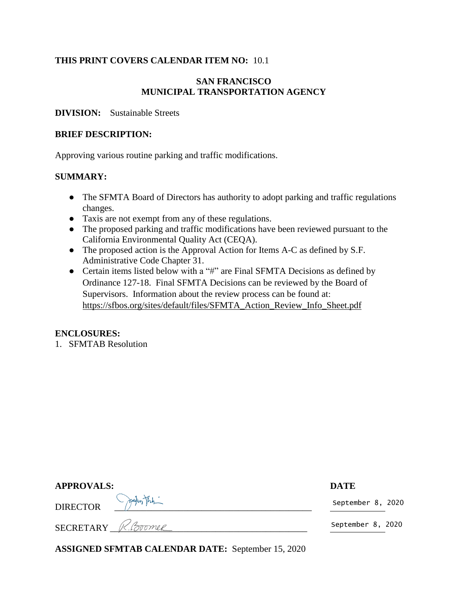## **THIS PRINT COVERS CALENDAR ITEM NO:** 10.1

### **SAN FRANCISCO MUNICIPAL TRANSPORTATION AGENCY**

**DIVISION:** Sustainable Streets

#### **BRIEF DESCRIPTION:**

Approving various routine parking and traffic modifications.

### **SUMMARY:**

- The SFMTA Board of Directors has authority to adopt parking and traffic regulations changes.
- Taxis are not exempt from any of these regulations.
- The proposed parking and traffic modifications have been reviewed pursuant to the California Environmental Quality Act (CEQA).
- The proposed action is the Approval Action for Items A-C as defined by S.F. Administrative Code Chapter 31.
- Certain items listed below with a "#" are Final SFMTA Decisions as defined by [Ordinance 127-18.](https://sfbos.org/sites/default/files/o0127-18.pdf) Final SFMTA Decisions can be reviewed by the Board of Supervisors. Information about the review process can be found at: [https://sfbos.org/sites/default/files/SFMTA\\_Action\\_Review\\_Info\\_Sheet.pdf](https://sfbos.org/sites/default/files/SFMTA_Action_Review_Info_Sheet.pdf)

#### **ENCLOSURES:**

1. SFMTAB Resolution

### **APPROVALS: DATE**

SECRETARY R. BOOML

DIRECTOR \_\_\_\_\_\_\_\_\_\_\_\_\_\_\_\_\_\_\_\_\_\_\_\_\_\_\_\_\_\_\_\_\_\_\_\_\_\_\_\_\_\_\_

September 8, 2020

September 8, 2020

**ASSIGNED SFMTAB CALENDAR DATE:** September 15, 2020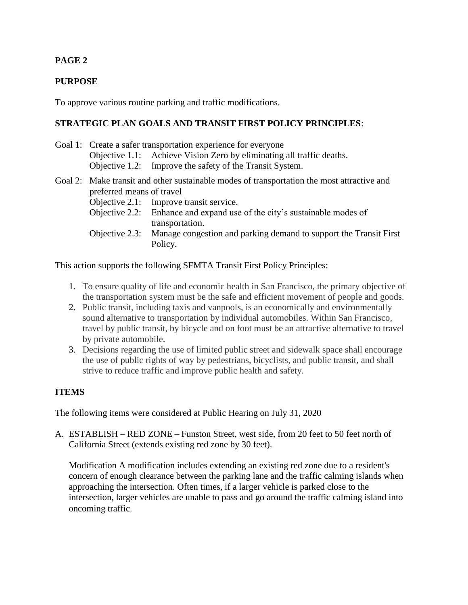# **PAGE 2**

## **PURPOSE**

To approve various routine parking and traffic modifications.

## **STRATEGIC PLAN GOALS AND TRANSIT FIRST POLICY PRINCIPLES**:

- Goal 1: Create a safer transportation experience for everyone Objective 1.1: Achieve Vision Zero by eliminating all traffic deaths. Objective 1.2: Improve the safety of the Transit System.
- Goal 2: Make transit and other sustainable modes of transportation the most attractive and preferred means of travel
	- Objective 2.1: Improve transit service.
	- Objective 2.2: Enhance and expand use of the city's sustainable modes of transportation.
	- Objective 2.3: Manage congestion and parking demand to support the Transit First Policy.

This action supports the following SFMTA Transit First Policy Principles:

- 1. To ensure quality of life and economic health in San Francisco, the primary objective of the transportation system must be the safe and efficient movement of people and goods.
- 2. Public transit, including taxis and vanpools, is an economically and environmentally sound alternative to transportation by individual automobiles. Within San Francisco, travel by public transit, by bicycle and on foot must be an attractive alternative to travel by private automobile.
- 3. Decisions regarding the use of limited public street and sidewalk space shall encourage the use of public rights of way by pedestrians, bicyclists, and public transit, and shall strive to reduce traffic and improve public health and safety.

## **ITEMS**

The following items were considered at Public Hearing on July 31, 2020

A. ESTABLISH – RED ZONE – Funston Street, west side, from 20 feet to 50 feet north of California Street (extends existing red zone by 30 feet).

Modification A modification includes extending an existing red zone due to a resident's concern of enough clearance between the parking lane and the traffic calming islands when approaching the intersection. Often times, if a larger vehicle is parked close to the intersection, larger vehicles are unable to pass and go around the traffic calming island into oncoming traffic.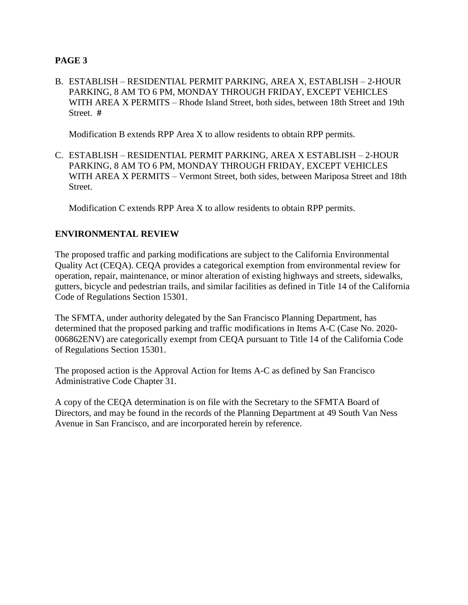## **PAGE 3**

B. ESTABLISH – RESIDENTIAL PERMIT PARKING, AREA X, ESTABLISH – 2-HOUR PARKING, 8 AM TO 6 PM, MONDAY THROUGH FRIDAY, EXCEPT VEHICLES WITH AREA X PERMITS – Rhode Island Street, both sides, between 18th Street and 19th Street. **#**

Modification B extends RPP Area X to allow residents to obtain RPP permits.

C. ESTABLISH – RESIDENTIAL PERMIT PARKING, AREA X ESTABLISH – 2-HOUR PARKING, 8 AM TO 6 PM, MONDAY THROUGH FRIDAY, EXCEPT VEHICLES WITH AREA X PERMITS – Vermont Street, both sides, between Mariposa Street and 18th Street.

Modification C extends RPP Area X to allow residents to obtain RPP permits.

## **ENVIRONMENTAL REVIEW**

The proposed traffic and parking modifications are subject to the California Environmental Quality Act (CEQA). CEQA provides a categorical exemption from environmental review for operation, repair, maintenance, or minor alteration of existing highways and streets, sidewalks, gutters, bicycle and pedestrian trails, and similar facilities as defined in Title 14 of the California Code of Regulations Section 15301.

The SFMTA, under authority delegated by the San Francisco Planning Department, has determined that the proposed parking and traffic modifications in Items A-C (Case No. 2020- 006862ENV) are categorically exempt from CEQA pursuant to Title 14 of the California Code of Regulations Section 15301.

The proposed action is the Approval Action for Items A-C as defined by San Francisco Administrative Code Chapter 31.

A copy of the CEQA determination is on file with the Secretary to the SFMTA Board of Directors, and may be found in the records of the Planning Department at 49 South Van Ness Avenue in San Francisco, and are incorporated herein by reference.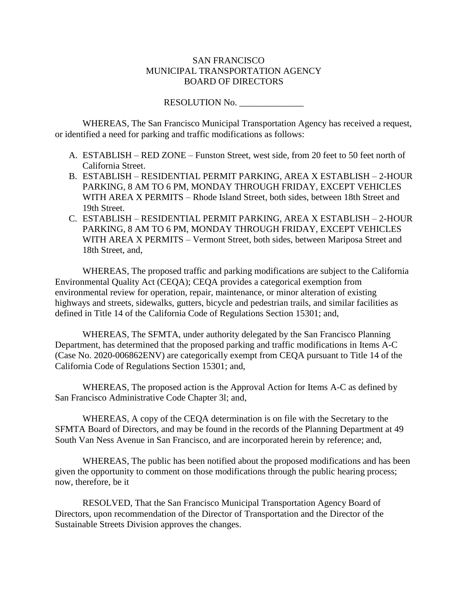#### SAN FRANCISCO MUNICIPAL TRANSPORTATION AGENCY BOARD OF DIRECTORS

RESOLUTION No.

WHEREAS, The San Francisco Municipal Transportation Agency has received a request, or identified a need for parking and traffic modifications as follows:

- A. ESTABLISH RED ZONE Funston Street, west side, from 20 feet to 50 feet north of California Street.
- B. ESTABLISH RESIDENTIAL PERMIT PARKING, AREA X ESTABLISH 2-HOUR PARKING, 8 AM TO 6 PM, MONDAY THROUGH FRIDAY, EXCEPT VEHICLES WITH AREA X PERMITS – Rhode Island Street, both sides, between 18th Street and 19th Street.
- C. ESTABLISH RESIDENTIAL PERMIT PARKING, AREA X ESTABLISH 2-HOUR PARKING, 8 AM TO 6 PM, MONDAY THROUGH FRIDAY, EXCEPT VEHICLES WITH AREA X PERMITS – Vermont Street, both sides, between Mariposa Street and 18th Street, and,

WHEREAS, The proposed traffic and parking modifications are subject to the California Environmental Quality Act (CEQA); CEQA provides a categorical exemption from environmental review for operation, repair, maintenance, or minor alteration of existing highways and streets, sidewalks, gutters, bicycle and pedestrian trails, and similar facilities as defined in Title 14 of the California Code of Regulations Section 15301; and,

WHEREAS, The SFMTA, under authority delegated by the San Francisco Planning Department, has determined that the proposed parking and traffic modifications in Items A-C (Case No. 2020-006862ENV) are categorically exempt from CEQA pursuant to Title 14 of the California Code of Regulations Section 15301; and,

WHEREAS, The proposed action is the Approval Action for Items A-C as defined by San Francisco Administrative Code Chapter 3l; and,

WHEREAS, A copy of the CEQA determination is on file with the Secretary to the SFMTA Board of Directors, and may be found in the records of the Planning Department at 49 South Van Ness Avenue in San Francisco, and are incorporated herein by reference; and,

WHEREAS, The public has been notified about the proposed modifications and has been given the opportunity to comment on those modifications through the public hearing process; now, therefore, be it

RESOLVED, That the San Francisco Municipal Transportation Agency Board of Directors, upon recommendation of the Director of Transportation and the Director of the Sustainable Streets Division approves the changes.